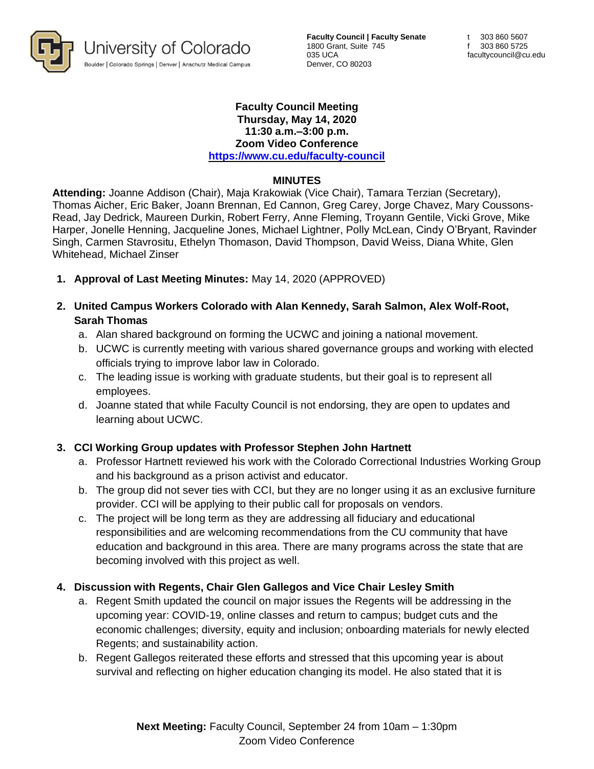

**Faculty Council | Faculty Senate** 1800 Grant, Suite 745 035 UCA Denver, CO 80203

#### **Faculty Council Meeting Thursday, May 14, 2020 11:30 a.m.–3:00 p.m. Zoom Video Conference <https://www.cu.edu/faculty-council>**

#### **MINUTES**

**Attending:** Joanne Addison (Chair), Maja Krakowiak (Vice Chair), Tamara Terzian (Secretary), Thomas Aicher, Eric Baker, Joann Brennan, Ed Cannon, Greg Carey, Jorge Chavez, Mary Coussons-Read, Jay Dedrick, Maureen Durkin, Robert Ferry, Anne Fleming, Troyann Gentile, Vicki Grove, Mike Harper, Jonelle Henning, Jacqueline Jones, Michael Lightner, Polly McLean, Cindy O'Bryant, Ravinder Singh, Carmen Stavrositu, Ethelyn Thomason, David Thompson, David Weiss, Diana White, Glen Whitehead, Michael Zinser

- **1. Approval of Last Meeting Minutes:** May 14, 2020 (APPROVED)
- **2. United Campus Workers Colorado with Alan Kennedy, Sarah Salmon, Alex Wolf-Root, Sarah Thomas**
	- a. Alan shared background on forming the UCWC and joining a national movement.
	- b. UCWC is currently meeting with various shared governance groups and working with elected officials trying to improve labor law in Colorado.
	- c. The leading issue is working with graduate students, but their goal is to represent all employees.
	- d. Joanne stated that while Faculty Council is not endorsing, they are open to updates and learning about UCWC.

#### **3. CCI Working Group updates with Professor Stephen John Hartnett**

- a. Professor Hartnett reviewed his work with the Colorado Correctional Industries Working Group and his background as a prison activist and educator.
- b. The group did not sever ties with CCI, but they are no longer using it as an exclusive furniture provider. CCI will be applying to their public call for proposals on vendors.
- c. The project will be long term as they are addressing all fiduciary and educational responsibilities and are welcoming recommendations from the CU community that have education and background in this area. There are many programs across the state that are becoming involved with this project as well.

#### **4. Discussion with Regents, Chair Glen Gallegos and Vice Chair Lesley Smith**

- a. Regent Smith updated the council on major issues the Regents will be addressing in the upcoming year: COVID-19, online classes and return to campus; budget cuts and the economic challenges; diversity, equity and inclusion; onboarding materials for newly elected Regents; and sustainability action.
- b. Regent Gallegos reiterated these efforts and stressed that this upcoming year is about survival and reflecting on higher education changing its model. He also stated that it is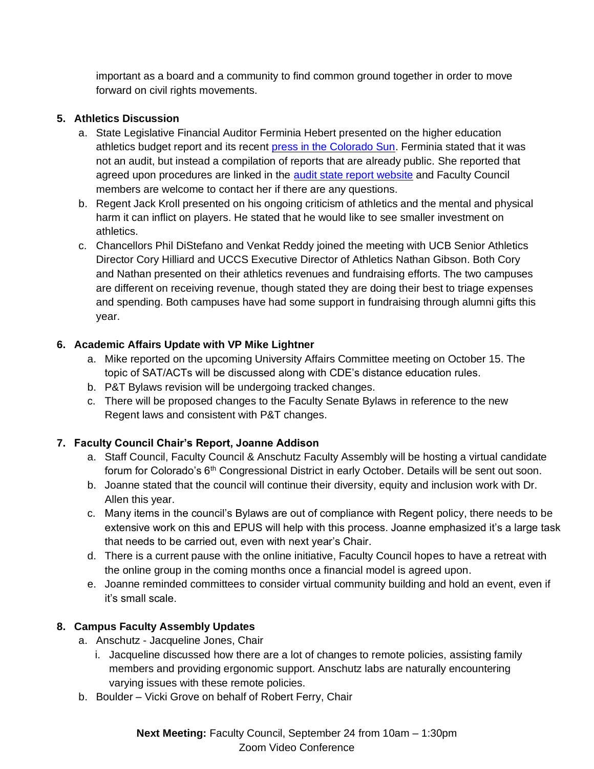important as a board and a community to find common ground together in order to move forward on civil rights movements.

### **5. Athletics Discussion**

- a. State Legislative Financial Auditor Ferminia Hebert presented on the higher education athletics budget report and its recent [press in the Colorado Sun.](https://coloradosun.com/2020/07/28/colorado-universities-lose-money-sports-coach-salaries/) Ferminia stated that it was not an audit, but instead a compilation of reports that are already public. She reported that agreed upon procedures are linked in the [audit state report website](https://leg.colorado.gov/audits/national-collegiate-athletic-association-athletic-programs-financial-data-compilation-fiscal) and Faculty Council members are welcome to contact her if there are any questions.
- b. Regent Jack Kroll presented on his ongoing criticism of athletics and the mental and physical harm it can inflict on players. He stated that he would like to see smaller investment on athletics.
- c. Chancellors Phil DiStefano and Venkat Reddy joined the meeting with UCB Senior Athletics Director Cory Hilliard and UCCS Executive Director of Athletics Nathan Gibson. Both Cory and Nathan presented on their athletics revenues and fundraising efforts. The two campuses are different on receiving revenue, though stated they are doing their best to triage expenses and spending. Both campuses have had some support in fundraising through alumni gifts this year.

# **6. Academic Affairs Update with VP Mike Lightner**

- a. Mike reported on the upcoming University Affairs Committee meeting on October 15. The topic of SAT/ACTs will be discussed along with CDE's distance education rules.
- b. P&T Bylaws revision will be undergoing tracked changes.
- c. There will be proposed changes to the Faculty Senate Bylaws in reference to the new Regent laws and consistent with P&T changes.

# **7. Faculty Council Chair's Report, Joanne Addison**

- a. Staff Council, Faculty Council & Anschutz Faculty Assembly will be hosting a virtual candidate forum for Colorado's 6<sup>th</sup> Congressional District in early October. Details will be sent out soon.
- b. Joanne stated that the council will continue their diversity, equity and inclusion work with Dr. Allen this year.
- c. Many items in the council's Bylaws are out of compliance with Regent policy, there needs to be extensive work on this and EPUS will help with this process. Joanne emphasized it's a large task that needs to be carried out, even with next year's Chair.
- d. There is a current pause with the online initiative, Faculty Council hopes to have a retreat with the online group in the coming months once a financial model is agreed upon.
- e. Joanne reminded committees to consider virtual community building and hold an event, even if it's small scale.

# **8. Campus Faculty Assembly Updates**

- a. Anschutz Jacqueline Jones, Chair
	- i. Jacqueline discussed how there are a lot of changes to remote policies, assisting family members and providing ergonomic support. Anschutz labs are naturally encountering varying issues with these remote policies.
- b. Boulder Vicki Grove on behalf of Robert Ferry, Chair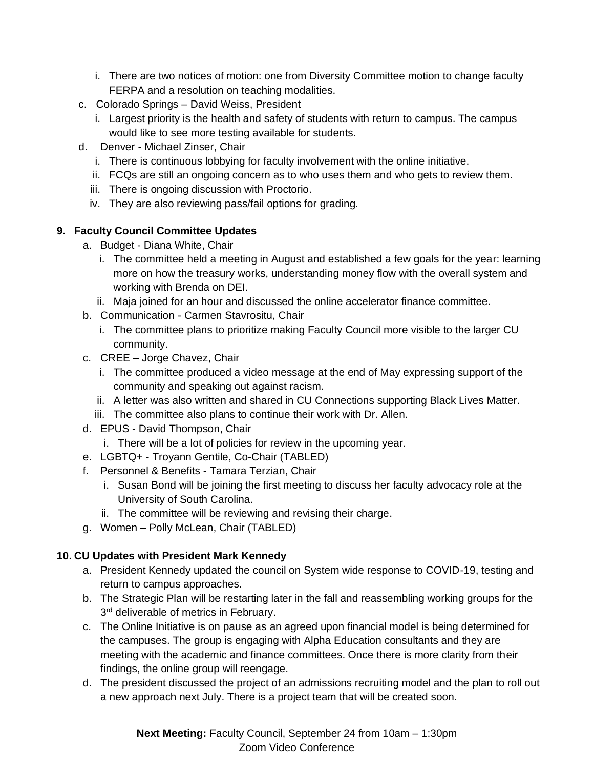- i. There are two notices of motion: one from Diversity Committee motion to change faculty FERPA and a resolution on teaching modalities.
- c. Colorado Springs David Weiss, President
	- i. Largest priority is the health and safety of students with return to campus. The campus would like to see more testing available for students.
- d. Denver Michael Zinser, Chair
	- i. There is continuous lobbying for faculty involvement with the online initiative.
	- ii. FCQs are still an ongoing concern as to who uses them and who gets to review them.
	- iii. There is ongoing discussion with Proctorio.
	- iv. They are also reviewing pass/fail options for grading.

### **9. Faculty Council Committee Updates**

- a. Budget Diana White, Chair
	- i. The committee held a meeting in August and established a few goals for the year: learning more on how the treasury works, understanding money flow with the overall system and working with Brenda on DEI.
	- ii. Maja joined for an hour and discussed the online accelerator finance committee.
- b. Communication Carmen Stavrositu, Chair
	- i. The committee plans to prioritize making Faculty Council more visible to the larger CU community.
- c. CREE Jorge Chavez, Chair
	- i. The committee produced a video message at the end of May expressing support of the community and speaking out against racism.
	- ii. A letter was also written and shared in CU Connections supporting Black Lives Matter.
	- iii. The committee also plans to continue their work with Dr. Allen.
- d. EPUS David Thompson, Chair
	- i. There will be a lot of policies for review in the upcoming year.
- e. LGBTQ+ Troyann Gentile, Co-Chair (TABLED)
- f. Personnel & Benefits Tamara Terzian, Chair
	- i. Susan Bond will be joining the first meeting to discuss her faculty advocacy role at the University of South Carolina.
	- ii. The committee will be reviewing and revising their charge.
- g. Women Polly McLean, Chair (TABLED)

# **10. CU Updates with President Mark Kennedy**

- a. President Kennedy updated the council on System wide response to COVID-19, testing and return to campus approaches.
- b. The Strategic Plan will be restarting later in the fall and reassembling working groups for the 3<sup>rd</sup> deliverable of metrics in February.
- c. The Online Initiative is on pause as an agreed upon financial model is being determined for the campuses. The group is engaging with Alpha Education consultants and they are meeting with the academic and finance committees. Once there is more clarity from their findings, the online group will reengage.
- d. The president discussed the project of an admissions recruiting model and the plan to roll out a new approach next July. There is a project team that will be created soon.